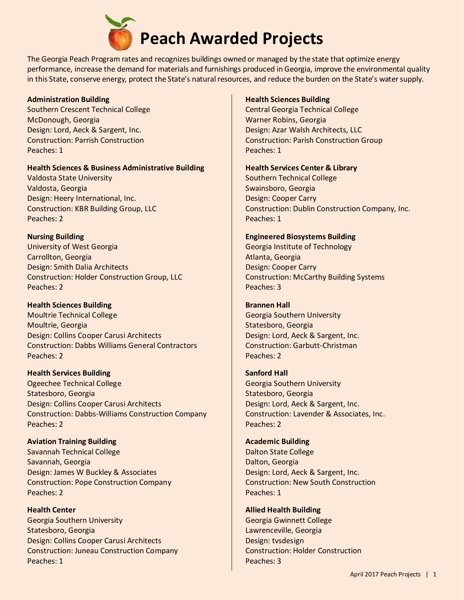

The Georgia Peach Program rates and recognizes buildings owned or managed by the state that optimize energy performance, increase the demand for materials and furnishings produced in Georgia, improve the environmental quality in this State, conserve energy, protect the State's natural resources, and reduce the burden on the State's water supply.

## **Administration Building**

Southern Crescent Technical College McDonough, Georgia Design: Lord, Aeck & Sargent, Inc. Construction: Parrish Construction Peaches: 1

## **Health Sciences & Business Administrative Building**

Valdosta State University Valdosta, Georgia Design: Heery International, Inc. Construction: KBR Building Group, LLC Peaches: 2

# **Nursing Building**

University of West Georgia Carrollton, Georgia Design: Smith Dalia Architects Construction: Holder Construction Group, LLC Peaches: 2

# **Health Sciences Building**

Moultrie Technical College Moultrie, Georgia Design: Collins Cooper Carusi Architects Construction: Dabbs Williams General Contractors Peaches: 2

## **Health Services Building**

Ogeechee Technical College Statesboro, Georgia Design: Collins Cooper Carusi Architects Construction: Dabbs-Williams Construction Company Peaches: 2

# **Aviation Training Building**

Savannah Technical College Savannah, Georgia Design: James W Buckley & Associates Construction: Pope Construction Company Peaches: 2

**Health Center** Georgia Southern University Statesboro, Georgia Design: Collins Cooper Carusi Architects Construction: Juneau Construction Company Peaches: 1

## **Health Sciences Building**

Central Georgia Technical College Warner Robins, Georgia Design: Azar Walsh Architects, LLC Construction: Parish Construction Group Peaches: 1

## **Health Services Center & Library**

Southern Technical College Swainsboro, Georgia Design: Cooper Carry Construction: Dublin Construction Company, Inc. Peaches: 1

## **Engineered Biosystems Building**

Georgia Institute of Technology Atlanta, Georgia Design: Cooper Carry Construction: McCarthy Building Systems Peaches: 3

# **Brannen Hall**

Georgia Southern University Statesboro, Georgia Design: Lord, Aeck & Sargent, Inc. Construction: Garbutt-Christman Peaches: 2

# **Sanford Hall**

Georgia Southern University Statesboro, Georgia Design: Lord, Aeck & Sargent, Inc. Construction: Lavender & Associates, Inc. Peaches: 2

## **Academic Building**

Dalton State College Dalton, Georgia Design: Lord, Aeck & Sargent, Inc. Construction: New South Construction Peaches: 1

# **Allied Health Building**

Georgia Gwinnett College Lawrenceville, Georgia Design: tvsdesign Construction: Holder Construction Peaches: 3